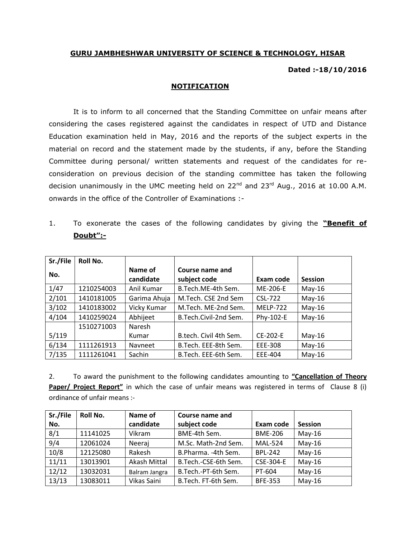## **GURU JAMBHESHWAR UNIVERSITY OF SCIENCE & TECHNOLOGY, HISAR**

## **Dated :-18/10/2016**

## **NOTIFICATION**

It is to inform to all concerned that the Standing Committee on unfair means after considering the cases registered against the candidates in respect of UTD and Distance Education examination held in May, 2016 and the reports of the subject experts in the material on record and the statement made by the students, if any, before the Standing Committee during personal/ written statements and request of the candidates for reconsideration on previous decision of the standing committee has taken the following decision unanimously in the UMC meeting held on  $22^{nd}$  and  $23^{rd}$  Aug., 2016 at 10.00 A.M. onwards in the office of the Controller of Examinations :-

1. To exonerate the cases of the following candidates by giving the **"Benefit of Doubt":-**

| Sr./File | Roll No.   |                      |                                 |                 |                |
|----------|------------|----------------------|---------------------------------|-----------------|----------------|
| No.      |            | Name of<br>candidate | Course name and<br>subject code | Exam code       | <b>Session</b> |
| 1/47     | 1210254003 | Anil Kumar           | B.Tech.ME-4th Sem.              | ME-206-E        | $May-16$       |
| 2/101    | 1410181005 | Garima Ahuja         | M.Tech. CSE 2nd Sem             | CSL-722         | $May-16$       |
| 3/102    | 1410183002 | Vicky Kumar          | M.Tech. ME-2nd Sem.             | <b>MELP-722</b> | $May-16$       |
| 4/104    | 1410259024 | Abhijeet             | B.Tech.Civil-2nd Sem.           | Phy-102-E       | $May-16$       |
|          | 1510271003 | Naresh               |                                 |                 |                |
| 5/119    |            | Kumar                | B.tech. Civil 4th Sem.          | CE-202-E        | $May-16$       |
| 6/134    | 1111261913 | Navneet              | B.Tech. EEE-8th Sem.            | EEE-308         | $May-16$       |
| 7/135    | 1111261041 | Sachin               | B.Tech. EEE-6th Sem.            | EEE-404         | $May-16$       |

2. To award the punishment to the following candidates amounting to **"Cancellation of Theory Paper/ Project Report"** in which the case of unfair means was registered in terms of Clause 8 (i) ordinance of unfair means :-

| Sr./File | Roll No. | Name of       | Course name and      |                |                |
|----------|----------|---------------|----------------------|----------------|----------------|
| No.      |          | candidate     | subject code         | Exam code      | <b>Session</b> |
| 8/1      | 11141025 | Vikram        | BME-4th Sem.         | <b>BME-206</b> | $May-16$       |
| 9/4      | 12061024 | Neeraj        | M.Sc. Math-2nd Sem.  | <b>MAL-524</b> | $May-16$       |
| 10/8     | 12125080 | Rakesh        | B.Pharma. -4th Sem.  | <b>BPL-242</b> | $May-16$       |
| 11/11    | 13013901 | Akash Mittal  | B.Tech.-CSE-6th Sem. | CSE-304-E      | $May-16$       |
| 12/12    | 13032031 | Balram Jangra | B.Tech.-PT-6th Sem.  | PT-604         | $May-16$       |
| 13/13    | 13083011 | Vikas Saini   | B.Tech. FT-6th Sem.  | <b>BFE-353</b> | $May-16$       |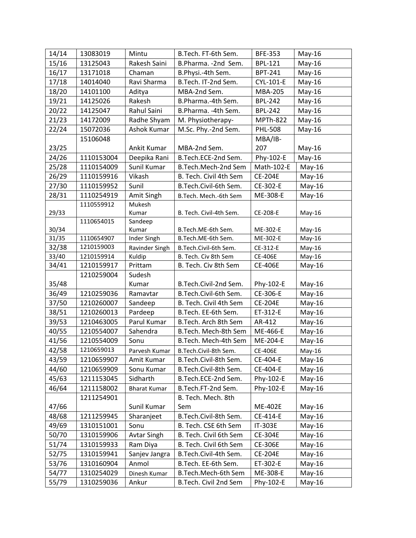| 14/14 | 13083019   | Mintu               | B.Tech. FT-6th Sem.<br><b>BFE-353</b> |                 | $May-16$           |
|-------|------------|---------------------|---------------------------------------|-----------------|--------------------|
| 15/16 | 13125043   | Rakesh Saini        | B.Pharma. - 2nd Sem.                  | <b>BPL-121</b>  | $May-16$           |
| 16/17 | 13171018   | Chaman              | B.Physi.-4th Sem.<br><b>BPT-241</b>   |                 | $May-16$           |
| 17/18 | 14014040   | Ravi Sharma         | B.Tech. IT-2nd Sem.<br>CYL-101-E      |                 | $May-16$           |
| 18/20 | 14101100   | Aditya              | <b>MBA-205</b><br>MBA-2nd Sem.        |                 | May-16             |
| 19/21 | 14125026   | Rakesh              | B.Pharma.-4th Sem.                    | <b>BPL-242</b>  | May-16             |
| 20/22 | 14125047   | Rahul Saini         | B.Pharma. - 4th Sem.                  | <b>BPL-242</b>  | $May-16$           |
| 21/23 | 14172009   | Radhe Shyam         | M. Physiotherapy-                     | <b>MPTh-822</b> | May-16             |
| 22/24 | 15072036   | Ashok Kumar         | M.Sc. Phy.-2nd Sem.                   | <b>PHL-508</b>  | May-16             |
|       | 15106048   |                     |                                       | MBA/IB-         |                    |
| 23/25 |            | Ankit Kumar         | MBA-2nd Sem.                          | 207             | May-16             |
| 24/26 | 1110153004 | Deepika Rani        | B.Tech.ECE-2nd Sem.                   | Phy-102-E       | $May-16$           |
| 25/28 | 1110154009 | Sunil Kumar         | B.Tech.Mech-2nd Sem                   | Math-102-E      | $May-16$           |
| 26/29 | 1110159916 | Vikash              | B. Tech. Civil 4th Sem                | <b>CE-204E</b>  | $May-16$           |
| 27/30 | 1110159952 | Sunil               | B.Tech.Civil-6th Sem.                 | CE-302-E        | $May-16$           |
| 28/31 | 1110254919 | Amit Singh          | B.Tech. Mech.-6th Sem                 | ME-308-E        | $May-16$           |
|       | 1110559912 | Mukesh              |                                       |                 |                    |
| 29/33 |            | Kumar               | B. Tech. Civil-4th Sem.               | CE-208-E        | May-16             |
|       | 1110654015 | Sandeep             |                                       |                 |                    |
| 30/34 |            | Kumar               | B.Tech.ME-6th Sem.                    | ME-302-E        | May-16             |
| 31/35 | 1110654907 | Inder Singh         | B.Tech.ME-6th Sem.                    | ME-302-E        | $May-16$           |
| 32/38 | 1210159003 | Ravinder Singh      | B.Tech.Civil-6th Sem.                 | CE-312-E        | May-16             |
| 33/40 | 1210159914 | Kuldip              | B. Tech. Civ 8th Sem                  | CE-406E         | May-16<br>$May-16$ |
| 34/41 | 1210159917 | Prittam             | B. Tech. Civ 8th Sem                  | <b>CE-406E</b>  |                    |
|       | 1210259004 | Sudesh              |                                       |                 |                    |
| 35/48 |            | Kumar               | B.Tech.Civil-2nd Sem.                 | Phy-102-E       | May-16<br>$May-16$ |
| 36/49 | 1210259036 | Ramavtar            | B.Tech.Civil-6th Sem.                 | CE-306-E        |                    |
| 37/50 | 1210260007 | Sandeep             | B. Tech. Civil 4th Sem                | <b>CE-204E</b>  | May-16             |
| 38/51 | 1210260013 | Pardeep             | B.Tech. EE-6th Sem.                   | ET-312-E        | $May-16$           |
| 39/53 | 1210463005 | Parul Kumar         | B.Tech. Arch 8th Sem                  | AR-412          | $May-16$           |
| 40/55 | 1210554007 | Sahendra            | B.Tech. Mech-8th Sem                  | ME-466-E        | May-16             |
| 41/56 | 1210554009 | Sonu                | B.Tech. Mech-4th Sem                  | ME-204-E        | $May-16$           |
| 42/58 | 1210659013 | Parvesh Kumar       | B.Tech.Civil-8th Sem.                 | <b>CE-406E</b>  | May-16             |
| 43/59 | 1210659907 | Amit Kumar          | B.Tech.Civil-8th Sem.                 | CE-404-E        | $May-16$           |
| 44/60 | 1210659909 | Sonu Kumar          | B.Tech.Civil-8th Sem.                 | CE-404-E        | $May-16$           |
| 45/63 | 1211153045 | Sidharth            | B.Tech.ECE-2nd Sem.                   | Phy-102-E       | $May-16$           |
| 46/64 | 1211158002 | <b>Bharat Kumar</b> | B.Tech.FT-2nd Sem.                    | Phy-102-E       | $May-16$           |
|       | 1211254901 |                     | B. Tech. Mech. 8th                    |                 |                    |
| 47/66 |            | Sunil Kumar         | Sem                                   | <b>ME-402E</b>  | May-16             |
| 48/68 | 1211259945 | Sharanjeet          | B.Tech.Civil-8th Sem.                 | CE-414-E        | $May-16$           |
| 49/69 | 1310151001 | Sonu                | B. Tech. CSE 6th Sem                  | IT-303E         | $May-16$           |
| 50/70 | 1310159906 | <b>Avtar Singh</b>  | B. Tech. Civil 6th Sem                | CE-304E         | $May-16$           |
| 51/74 | 1310159933 | Ram Diya            | B. Tech. Civil 6th Sem                | <b>CE-306E</b>  | $May-16$           |
| 52/75 | 1310159941 | Sanjev Jangra       | B.Tech.Civil-4th Sem.                 | <b>CE-204E</b>  | $May-16$           |
| 53/76 | 1310160904 | Anmol               | B.Tech. EE-6th Sem.                   | ET-302-E        | $May-16$           |
| 54/77 | 1310254029 | Dinesh Kumar        | B.Tech.Mech-6th Sem                   | ME-308-E        | May-16             |
| 55/79 | 1310259036 | Ankur               | B.Tech. Civil 2nd Sem                 | Phy-102-E       | May-16             |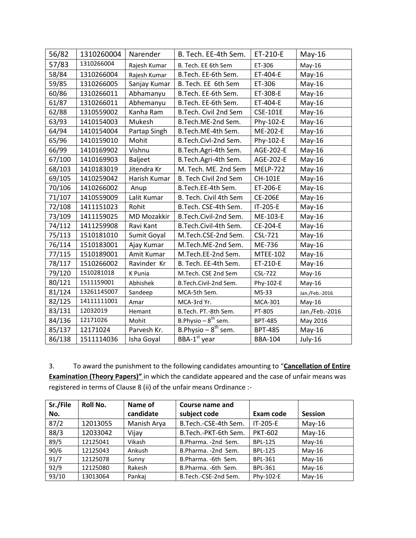| 56/82  | 1310260004  | Narender           | B. Tech. EE-4th Sem.     | ET-210-E        | $May-16$       |
|--------|-------------|--------------------|--------------------------|-----------------|----------------|
| 57/83  | 1310266004  | Rajesh Kumar       | B. Tech. EE 6th Sem      | ET-306          | $May-16$       |
| 58/84  | 1310266004  | Rajesh Kumar       | B.Tech. EE-6th Sem.      | ET-404-E        | $May-16$       |
| 59/85  | 1310266005  | Sanjay Kumar       | B. Tech. EE 6th Sem      | ET-306          | $May-16$       |
| 60/86  | 1310266011  | Abhamanyu          | B.Tech. EE-6th Sem.      | ET-308-E        | $May-16$       |
| 61/87  | 1310266011  | Abhemanyu          | B.Tech. EE-6th Sem.      | ET-404-E        | $May-16$       |
| 62/88  | 1310559002  | Kanha Ram          | B.Tech. Civil 2nd Sem    | <b>CSE-101E</b> | $May-16$       |
| 63/93  | 1410154003  | Mukesh             | B.Tech.ME-2nd Sem.       | Phy-102-E       | May-16         |
| 64/94  | 1410154004  | Partap Singh       | B.Tech.ME-4th Sem.       | ME-202-E        | $May-16$       |
| 65/96  | 1410159010  | Mohit              | B.Tech.Civl-2nd Sem.     | Phy-102-E       | $May-16$       |
| 66/99  | 1410169902  | Vishnu             | B.Tech.Agri-4th Sem.     | AGE-202-E       | $May-16$       |
| 67/100 | 1410169903  | <b>Baljeet</b>     | B.Tech.Agri-4th Sem.     | AGE-202-E       | $May-16$       |
| 68/103 | 1410183019  | Jitendra Kr        | M. Tech. ME. 2nd Sem     | <b>MELP-722</b> | $May-16$       |
| 69/105 | 1410259042  | Harish Kumar       | B. Tech Civil 2nd Sem    | CH-101E         | $May-16$       |
| 70/106 | 1410266002  | Anup               | B.Tech.EE-4th Sem.       | ET-206-E        | $May-16$       |
| 71/107 | 1410559009  | Lalit Kumar        | B. Tech. Civil 4th Sem   | <b>CE-206E</b>  | $May-16$       |
| 72/108 | 1411151023  | Rohit              | B.Tech. CSE-4th Sem.     | IT-205-E        | $May-16$       |
| 73/109 | 1411159025  | <b>MD Mozakkir</b> | B.Tech.Civil-2nd Sem.    | ME-103-E        | $May-16$       |
| 74/112 | 1411259908  | Ravi Kant          | B.Tech.Civil-4th Sem.    | CE-204-E        | $May-16$       |
| 75/113 | 1510181010  | Sumit Goyal        | M.Tech.CSE-2nd Sem.      | <b>CSL-721</b>  | $May-16$       |
| 76/114 | 1510183001  | Ajay Kumar         | M.Tech.ME-2nd Sem.       | ME-736          | $May-16$       |
| 77/115 | 1510189001  | Amit Kumar         | M.Tech.EE-2nd Sem.       | <b>MTEE-102</b> | $May-16$       |
| 78/117 | 1510266002  | Ravinder Kr        | B. Tech. EE-4th Sem.     | ET-210-E        | $May-16$       |
| 79/120 | 1510281018  | K Punia            | M.Tech. CSE 2nd Sem      | <b>CSL-722</b>  | $May-16$       |
| 80/121 | 1511159001  | Abhishek           | B.Tech.Civil-2nd Sem.    | Phy-102-E       | $May-16$       |
| 81/124 | 13261145007 | Sandeep            | MCA-5th Sem.             | MS-33           | Jan./Feb.-2016 |
| 82/125 | 14111111001 | Amar               | MCA-3rd Yr.              | <b>MCA-301</b>  | May-16         |
| 83/131 | 12032019    | Hemant             | B.Tech. PT.-8th Sem.     | PT-805          | Jan./Feb.-2016 |
| 84/136 | 12171026    | Mohit              | B.Physio $-8^{th}$ sem.  | <b>BPT-485</b>  | May 2016       |
| 85/137 | 12171024    | Parvesh Kr.        | B.Physio $-8^{th}$ sem.  | <b>BPT-485</b>  | $May-16$       |
| 86/138 | 1511114036  | Isha Goyal         | BBA-1 <sup>st</sup> year | <b>BBA-104</b>  | July-16        |

3. To award the punishment to the following candidates amounting to "**Cancellation of Entire Examination (Theory Papers)"** in which the candidate appeared and the case of unfair means was registered in terms of Clause 8 (ii) of the unfair means Ordinance :-

| Sr./File | <b>Roll No.</b> | Name of     | Course name and      |                |                |
|----------|-----------------|-------------|----------------------|----------------|----------------|
| No.      |                 | candidate   | subject code         | Exam code      | <b>Session</b> |
| 87/2     | 12013055        | Manish Arya | B.Tech.-CSE-4th Sem. | IT-205-E       | $May-16$       |
| 88/3     | 12033042        | Vijay       | B.Tech.-PKT-6th Sem. | <b>PKT-602</b> | $May-16$       |
| 89/5     | 12125041        | Vikash      | B.Pharma. - 2nd Sem. | <b>BPL-125</b> | $May-16$       |
| 90/6     | 12125043        | Ankush      | B.Pharma. - 2nd Sem. | <b>BPL-125</b> | $May-16$       |
| 91/7     | 12125078        | Sunny       | B.Pharma. - 6th Sem. | <b>BPL-361</b> | $May-16$       |
| 92/9     | 12125080        | Rakesh      | B.Pharma. - 6th Sem. | <b>BPL-361</b> | $May-16$       |
| 93/10    | 13013064        | Pankaj      | B.Tech.-CSE-2nd Sem. | Phy-102-E      | $May-16$       |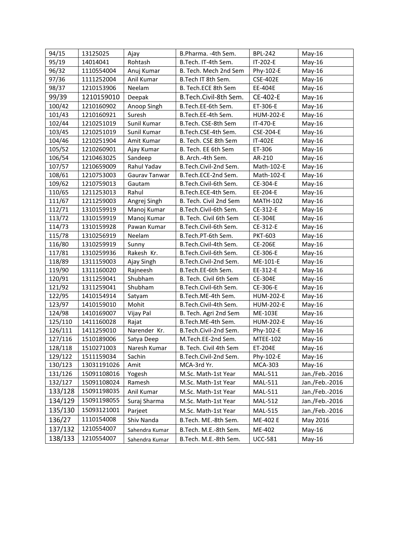| 94/15   | 13125025    | Ajay           | B.Pharma. -4th Sem.    | <b>BPL-242</b>   | $May-16$       |
|---------|-------------|----------------|------------------------|------------------|----------------|
| 95/19   | 14014041    | Rohtash        | B.Tech. IT-4th Sem.    | IT-202-E         | $May-16$       |
| 96/32   | 1110554004  | Anuj Kumar     | B. Tech. Mech 2nd Sem  | Phy-102-E        | May-16         |
| 97/36   | 1111252004  | Anil Kumar     | B.Tech IT 8th Sem.     | <b>CSE-402E</b>  | May-16         |
| 98/37   | 1210153906  | Neelam         | B. Tech.ECE 8th Sem    | EE-404E          | May-16         |
| 99/39   | 1210159010  | Deepak         | B.Tech.Civil-8th Sem.  | CE-402-E         | May-16         |
| 100/42  | 1210160902  | Anoop Singh    | B.Tech.EE-6th Sem.     | ET-306-E         | $May-16$       |
| 101/43  | 1210160921  | Suresh         | B.Tech.EE-4th Sem.     | <b>HUM-202-E</b> | May-16         |
| 102/44  | 1210251019  | Sunil Kumar    | B.Tech. CSE-8th Sem    | IT-470-E         | $May-16$       |
| 103/45  | 1210251019  | Sunil Kumar    | B.Tech.CSE-4th Sem.    | CSE-204-E        | May-16         |
| 104/46  | 1210251904  | Amit Kumar     | B. Tech. CSE 8th Sem   | IT-402E          | May-16         |
| 105/52  | 1210260901  | Ajay Kumar     | B. Tech. EE 6th Sem    | ET-306           | May-16         |
| 106/54  | 1210463025  | Sandeep        | B. Arch.-4th Sem.      | AR-210           | May-16         |
| 107/57  | 1210659009  | Rahul Yadav    | B.Tech.Civil-2nd Sem.  | Math-102-E       | May-16         |
| 108/61  | 1210753003  | Gaurav Tanwar  | B.Tech.ECE-2nd Sem.    | Math-102-E       | May-16         |
| 109/62  | 1210759013  | Gautam         | B.Tech.Civil-6th Sem.  | CE-304-E         | May-16         |
| 110/65  | 1211253013  | Rahul          | B.Tech.ECE-4th Sem.    | EE-204-E         | $May-16$       |
| 111/67  | 1211259003  | Angrej Singh   | B. Tech. Civil 2nd Sem | <b>MATH-102</b>  | $May-16$       |
| 112/71  | 1310159919  | Manoj Kumar    | B.Tech.Civil-6th Sem.  | CE-312-E         | May-16         |
| 113/72  | 1310159919  | Manoj Kumar    | B. Tech. Civil 6th Sem | <b>CE-304E</b>   | May-16         |
| 114/73  | 1310159928  | Pawan Kumar    | B.Tech.Civil-6th Sem.  | CE-312-E         | May-16         |
| 115/78  | 1310256919  | Neelam         | B.Tech.PT-6th Sem.     | <b>PKT-603</b>   | $May-16$       |
| 116/80  | 1310259919  | Sunny          | B.Tech.Civil-4th Sem.  | <b>CE-206E</b>   | May-16         |
| 117/81  | 1310259936  | Rakesh Kr.     | B.Tech.Civil-6th Sem.  | CE-306-E         | $May-16$       |
| 118/89  | 1311159003  | Ajay Singh     | B.Tech.Civil-2nd Sem.  | ME-101-E         | $May-16$       |
| 119/90  | 1311160020  | Rajneesh       | B.Tech.EE-6th Sem.     | EE-312-E         | May-16         |
| 120/91  | 1311259041  | Shubham        | B. Tech. Civil 6th Sem | CE-304E          | May-16         |
| 121/92  | 1311259041  | Shubham        | B.Tech.Civil-6th Sem.  | CE-306-E         | $May-16$       |
| 122/95  | 1410154914  | Satyam         | B.Tech.ME-4th Sem.     | <b>HUM-202-E</b> | May-16         |
| 123/97  | 1410159010  | Mohit          | B.Tech.Civil-4th Sem.  | <b>HUM-202-E</b> | May-16         |
| 124/98  | 1410169007  | Vijay Pal      | B. Tech. Agri 2nd Sem  | <b>ME-103E</b>   | May-16         |
| 125/110 | 1411160028  | Rajat          | B.Tech.ME-4th Sem.     | <b>HUM-202-E</b> | May-16         |
| 126/111 | 1411259010  | Narender Kr.   | B.Tech.Civil-2nd Sem.  | Phy-102-E        | May-16         |
| 127/116 | 1510189006  | Satya Deep     | M.Tech.EE-2nd Sem.     | <b>MTEE-102</b>  | May-16         |
| 128/118 | 1510271003  | Naresh Kumar   | B. Tech. Civil 4th Sem | ET-204E          | $May-16$       |
| 129/122 | 1511159034  | Sachin         | B.Tech.Civil-2nd Sem.  | Phy-102-E        | May-16         |
| 130/123 | 13031191026 | Amit           | MCA-3rd Yr.            | <b>MCA-303</b>   | May-16         |
| 131/126 | 15091108016 | Yogesh         | M.Sc. Math-1st Year    | <b>MAL-511</b>   | Jan./Feb.-2016 |
| 132/127 | 15091108024 | Ramesh         | M.Sc. Math-1st Year    | <b>MAL-511</b>   | Jan./Feb.-2016 |
| 133/128 | 15091198035 | Anil Kumar     | M.Sc. Math-1st Year    | <b>MAL-511</b>   | Jan./Feb.-2016 |
| 134/129 | 15091198055 | Suraj Sharma   | M.Sc. Math-1st Year    | <b>MAL-512</b>   | Jan./Feb.-2016 |
| 135/130 | 15093121001 | Parjeet        | M.Sc. Math-1st Year    | <b>MAL-515</b>   | Jan./Feb.-2016 |
| 136/27  | 1110154008  | Shiv Nanda     | B.Tech. ME.-8th Sem.   | ME-402 E         | May 2016       |
| 137/132 | 1210554007  | Sahendra Kumar | B.Tech. M.E.-8th Sem.  | ME-402           | May-16         |
| 138/133 | 1210554007  | Sahendra Kumar | B.Tech. M.E.-8th Sem.  | <b>UCC-581</b>   | $May-16$       |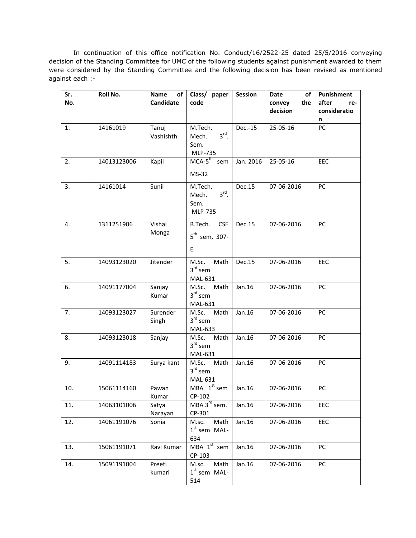In continuation of this office notification No. Conduct/16/2522-25 dated 25/5/2016 conveying decision of the Standing Committee for UMC of the following students against punishment awarded to them were considered by the Standing Committee and the following decision has been revised as mentioned against each :-

| Sr.<br>No. | Roll No.    | Name<br>of<br>Candidate | Class/ paper<br>code                                            | Session   | Date<br>of<br>the<br>convey | Punishment<br>after<br>re- |
|------------|-------------|-------------------------|-----------------------------------------------------------------|-----------|-----------------------------|----------------------------|
|            |             |                         |                                                                 |           | decision                    | consideratio               |
| 1.         | 14161019    | Tanuj<br>Vashishth      | M.Tech.<br>$3^{\text{rd}}$ .<br>Mech.<br>Sem.<br><b>MLP-735</b> | Dec.-15   | 25-05-16                    | n<br>PC                    |
| 2.         | 14013123006 | Kapil                   | $MCA-5^{th}$ sem<br>MS-32                                       | Jan. 2016 | 25-05-16                    | <b>EEC</b>                 |
| 3.         | 14161014    | Sunil                   | M.Tech.<br>$3^{\text{rd}}$ .<br>Mech.<br>Sem.<br><b>MLP-735</b> | Dec.15    | 07-06-2016                  | PC                         |
| 4.         | 1311251906  | Vishal<br>Monga         | B.Tech.<br><b>CSE</b><br>$5th$ sem, 307-<br>E                   | Dec.15    | 07-06-2016                  | PC                         |
| 5.         | 14093123020 | Jitender                | M.Sc.<br>Math<br>$3rd$ sem<br>MAL-631                           | Dec.15    | 07-06-2016                  | EEC                        |
| 6.         | 14091177004 | Sanjay<br>Kumar         | M.Sc.<br>Math<br>$3^{\text{rd}}$ sem<br><b>MAL-631</b>          | Jan.16    | 07-06-2016                  | <b>PC</b>                  |
| 7.         | 14093123027 | Surender<br>Singh       | M.Sc.<br>Math<br>$3^{\text{rd}}$ sem<br>MAL-633                 | Jan.16    | 07-06-2016                  | <b>PC</b>                  |
| 8.         | 14093123018 | Sanjay                  | M.Sc.<br>Math<br>$3rd$ sem<br>MAL-631                           | Jan.16    | 07-06-2016                  | PC                         |
| 9.         | 14091114183 | Surya kant              | M.Sc. Math<br>$3rd$ sem<br>MAL-631                              | Jan.16    | 07-06-2016                  | <b>PC</b>                  |
| 10.        | 15061114160 | Pawan<br>Kumar          | MBA $1st$ sem<br>CP-102                                         | Jan.16    | 07-06-2016                  | PC                         |
| 11.        | 14063101006 | Satya<br>Narayan        | MBA 3 <sup>rd</sup> sem.<br>CP-301                              | Jan.16    | 07-06-2016                  | EEC                        |
| 12.        | 14061191076 | Sonia                   | M.sc.<br>Math<br>$1st$ sem MAL-<br>634                          | Jan.16    | 07-06-2016                  | EEC                        |
| 13.        | 15061191071 | Ravi Kumar              | MBA 1 <sup>st</sup> sem<br>CP-103                               | Jan.16    | 07-06-2016                  | <b>PC</b>                  |
| 14.        | 15091191004 | Preeti<br>kumari        | Math<br>M.sc.<br>$1st$ sem MAL-<br>514                          | Jan.16    | 07-06-2016                  | PC                         |